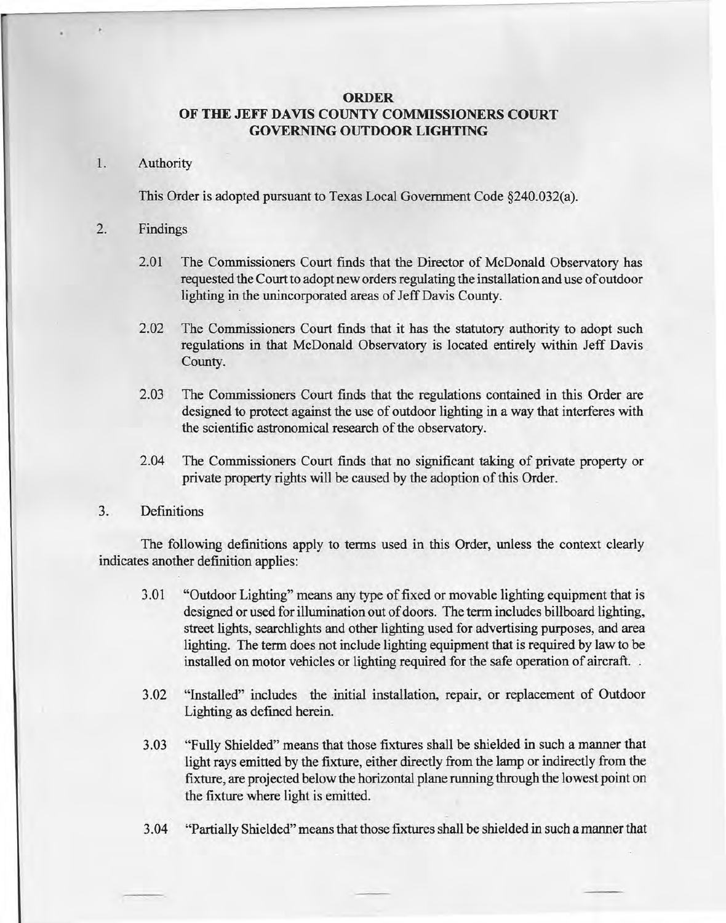# **ORDER OF THE JEFF DAVIS COUNTY COMMISSIONERS COURT GOVERNING OUTDOOR LIGHTING**

## 1. Authority

This Order is adopted pursuant to Texas Local Government Code §240.032(a).

## 2. Findings

- 2.01 The Commissioners Court finds that the Director of McDonald Observatory has requested the Court to adopt new orders regulating the installation and use of outdoor lighting in the unincorporated areas of Jeff Davis County.
- 2.02 The Commissioners Court finds that it has the statutory authority to adopt such regulations in that McDonald Observatory is located entirely within Jeff Davis County.
- 2.03 The Commissioners Court finds that the regulations contained in this Order are designed to protect against the use of outdoor lighting in a way that interferes with the scientific astronomical research of the observatory.
- 2.04 The Commissioners Court finds that no significant taking of private property or private property rights will be caused by the adoption of this Order.

## 3. Definitions

The following definitions apply to terms used in this Order, unless the context clearly indicates another definition applies:

- 3.01 "Outdoor Lighting" means any type of fixed or movable lighting equipment that is designed or used for illumination out of doors. The term includes billboard lighting, street lights, searchlights and other lighting used for advertising purposes, and area lighting. The term does not include lighting equipment that is required by law to be installed on motor vehicles or lighting required for the safe operation of aircraft. .
- 3.02 "Installed" includes the initial installation, repair, or replacement of Outdoor Lighting as defined herein.
- 3.03 "Fully Shielded" means that those fixtures shall be shielded in such a manner that light rays emitted by the fixture, either directly from the lamp or indirectly from the fixture, are projected below the horizontal plane running through the lowest point on the fixture where light is emitted.
- 3.04 "Partially Shielded" means that those fixtures shall be shielded in such a manner that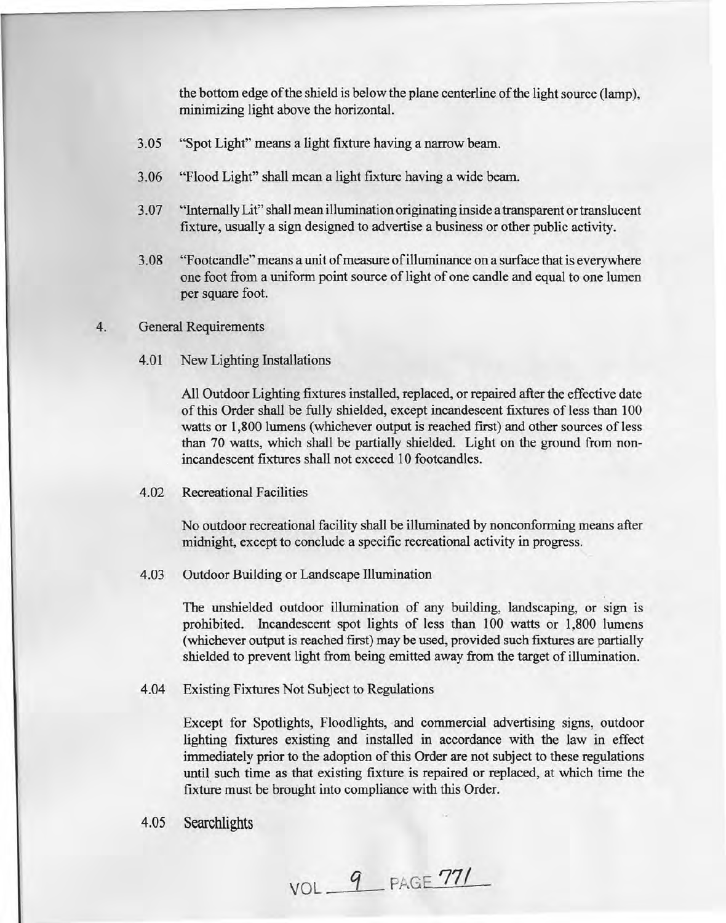the bottom edge of the shield is below the plane centerline of the light source (lamp), minimizing light above the horizontaL

- 3.05 "Spot Light" means a light fixture having a narrow beam.
- 3.06 "Flood Light" shall mean a light fixture having a wide beam.
- 3.07 "Internally Lit" shall mean illumination originating inside a transparent or translucent fixture, usually a sign designed to advertise a business or other public activity.
- 3.08 "F ootcandle" means a unit of measure of illuminance on a surface that is everywhere one foot from a uniform point source of light of one candle and equal to one lumen per square foot.

#### 4. General Requirements

4.01 New Lighting Installations

All Outdoor Lighting fixtures installed, replaced, or repaired after the effective date of this Order shall be fully shielded, except incandescent fixtures of less than 100 watts or 1,800 lumens (whichever output is reached first) and other sources of less than 70 watts, which shall be partially shielded. Light on the ground from nonincandescent fixtures shall not exceed 10 footcandles.

#### 4.02 Recreational Facilities

No outdoor recreational facility shall be illuminated by nonconforming means after midnight, except to conclude a specific recreational activity in progress.

4.03 Outdoor Building or Landscape Illumination

The unshielded outdoor illumination of any building, landscaping, or sign is prohibited. Incandescent spot lights of less than 100 watts or 1,800 lumens (whichever output is reached first) may be used, provided such fixtures are partially shielded to prevent light from being emitted away from the target of illumination.

4.04 Existing Fixtures Not Subject to Regulations

Except for Spotlights, Floodlights, and commercial advertising signs, outdoor lighting fixtures existing and installed in accordance with the law in effect immediately prior to the adoption of this Order are not subject to these regulations until such time as that existing fixture is repaired or replaced, at which time the fixture must be brought into compliance with this Order.

4.05 Searchlights

VOL <u>9</u> PAGE 771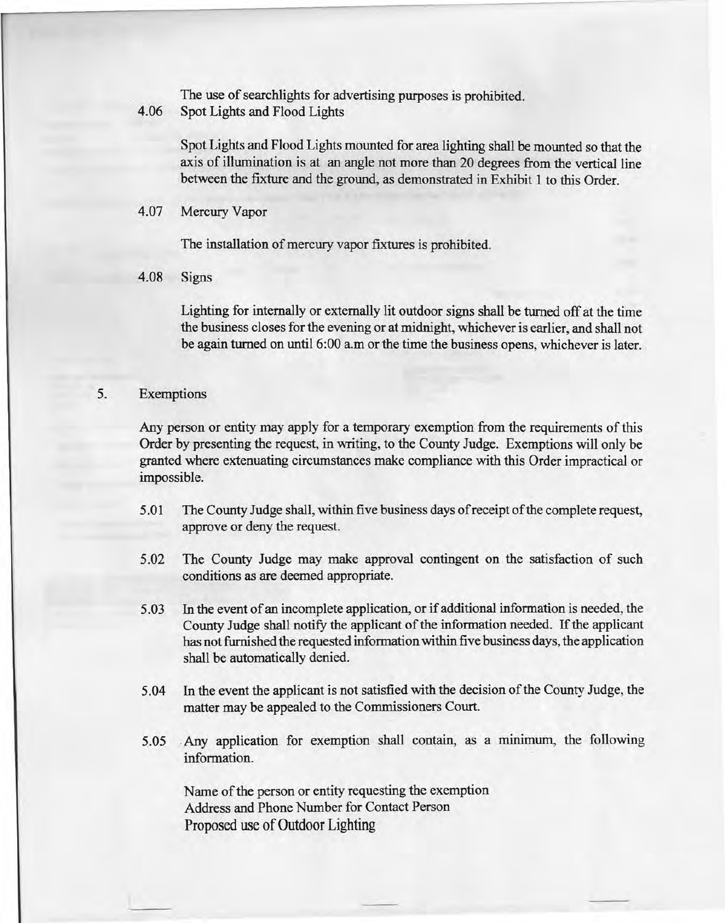The use of searchlights for advertising purposes is prohibited.

4.06 Spot Lights and Flood Lights

Spot Lights and Flood Lights mounted for area lighting shall be mounted so that the axis of illumination is at an angle not more than 20 degrees from the vertical line between the fixture and the ground, as demonstrated in Exhibit 1 to this Order.

4.07 Mercury Vapor

The installation of mercury vapor fixtures is prohibited.

4.08 Signs

Lighting for internally or externally lit outdoor signs shall be turned off at the time the business closes for the evening or at midnight, whichever is earlier, and shall not be again turned on until 6:00 a.m or the time the business opens, whichever is later.

## 5. Exemptions

Any person or entity may apply for a temporary exemption from the requirements of this Order by presenting the request, in writing, to the County Judge. Exemptions will only be granted where extenuating circumstances make compliance with this Order impractical or impossible.

- 5.01 The County Judge shall, within five business days of receipt of the complete request, approve or deny the request.
- 5.02 The County Judge may make approval contingent on the satisfaction of such conditions as are deemed appropriate.
- 5.03 In the event of an incomplete application, or if additional information is needed, the County Judge shall notify the applicant of the information needed. If the applicant has not furnished the requested information within five business days, the application shall be automatically denied.
- 5.04 In the event the applicant is not satisfied with the decision of the County Judge, the matter may be appealed to the Commissioners Court.
- 5.05, Any application for exemption shall contain, as a minimum, the following information.

Name of the person or entity requesting the exemption Address and Phone Number for Contact Person Proposed use of Outdoor Lighting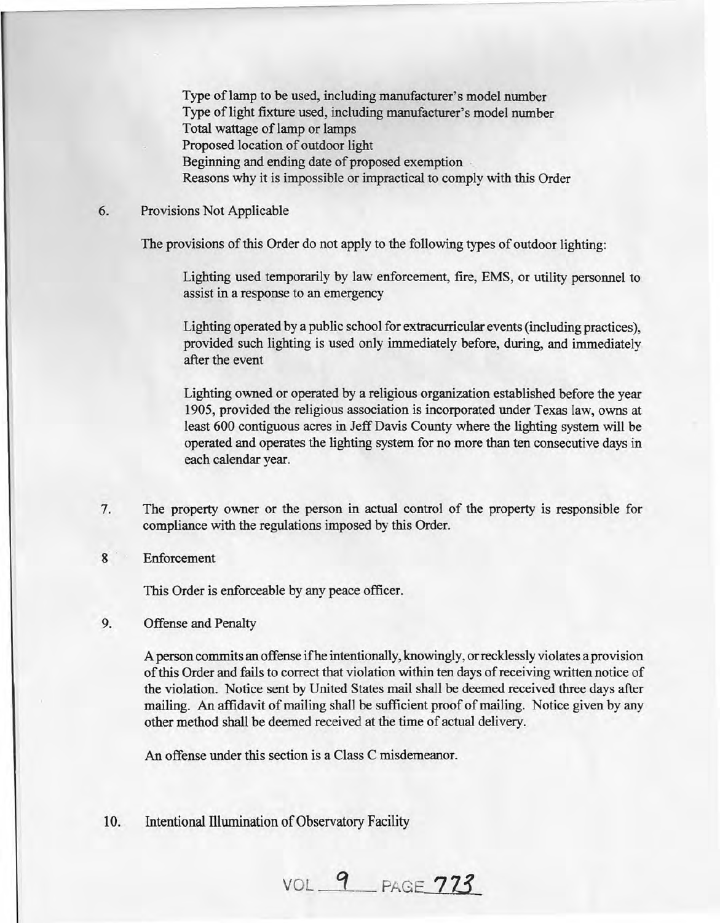Type of lamp to be used, including manufacturer's model number Type of light fixture used, including manufacturer's model number .Total wattage of lamp or lamps Proposed location of outdoor light Beginning and ending date of proposed exemption Reasons why it is impossible or impractical to comply with this Order

### 6. Provisions Not Applicable

The provisions of this Order do not apply to the following types of outdoor lighting:

Lighting used temporarily by law enforcement, fire, EMS, or utility personnel to assist in a response to an emergency

Lighting operated by a public school for extracurricular events (including practices), provided such lighting is used only immediately before, during, and immediately after the event

Lighting owned or operated by a religious organization established before the year 1905, provided the religious association is incorporated under Texas law, owns at least 600 contiguous acres in Jeff Davis County where the lighting system will be operated and operates the lighting system for no more than ten consecutive days in each calendar year.

- 7. The property owner or the person in actual control of the property is responsible for compliance with the regulations imposed by this Order.
- 8 Enforcement

This Order is enforceable by any peace officer.

9. Offense and Penalty

A person commits an offense ifhe intentionally, knowingly, or recklessly violates a provision of this Order and fails to correct that violation within ten days of receiving written notice of the violation. Notice sent by United States mail shall be deemed received three days after mailing. An affidavit of mailing shall be sufficient proof of mailing. Notice given by any other method shall be deemed received at the time of actual delivery.

An offense under this section is a Class C misdemeanor.

10. Intentional Illumination of Observatory Facility

VOL *q* PAGt: **713**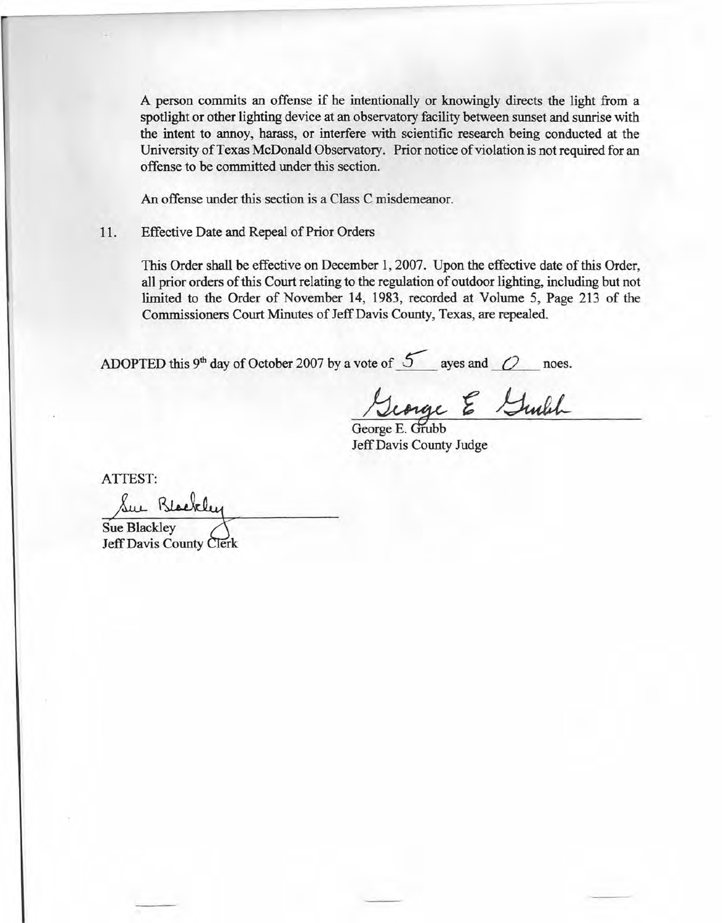A person commits an offense if he intentionally or knowingly directs the light from a spotlight or other lighting device at an observatory facility between sunset and sunrise with the intent to annoy, harass, or interfere with scientific research being conducted at the University of Texas McDonald Observatory. Prior notice of violation is not required for an offense to be committed under this section.

An offense under this section is a Class C misdemeanor.

11. Effective Date and Repeal of Prior Orders

This Order shall be effective on December 1,2007. Upon the effective date of this Order, all prior orders of this Court relating to the regulation of outdoor lighting, including but not limited to the Order of November 14, 1983, recorded at Volume 5, Page 213 of the Commissioners Court Minutes of Jeff Davis County, Texas, are repealed.

ADOPTED this 9<sup>th</sup> day of October 2007 by a vote of  $\overline{5}$  ayes and  $\overline{O}$  noes.

George & Guilh

George E. Grubb Jeff Davis County Judge

ATTEST:

Sue Blackley **Sue Blackley Jeff Davis County Clerk**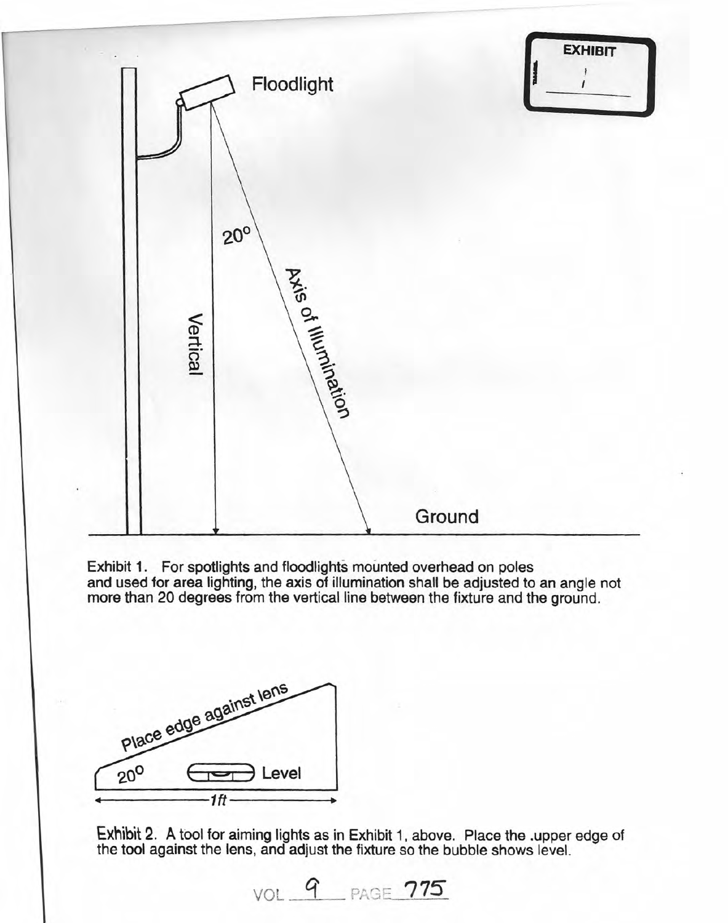|                      | Floodlight                           |        | <b>EXHIBIT</b> |
|----------------------|--------------------------------------|--------|----------------|
| Vertical             | $20^{\circ}$<br>Axis of Illumination |        |                |
| $\ddot{\phantom{0}}$ |                                      | Ground |                |

Exhibit 1. For spotlights and floodlights mounted overhead on poles and used for area lighting, the axis of illumination shall be adjusted to an angle not more than 20 degrees from the vertical line between the fixture and the ground.



Exhibit 2. A tool for aiming lights as in Exhibit 1, above. Place the .upper edge of the tool against the lens, and adjust the fixture so the bubble shows level.

VOL 9 PAGE 775